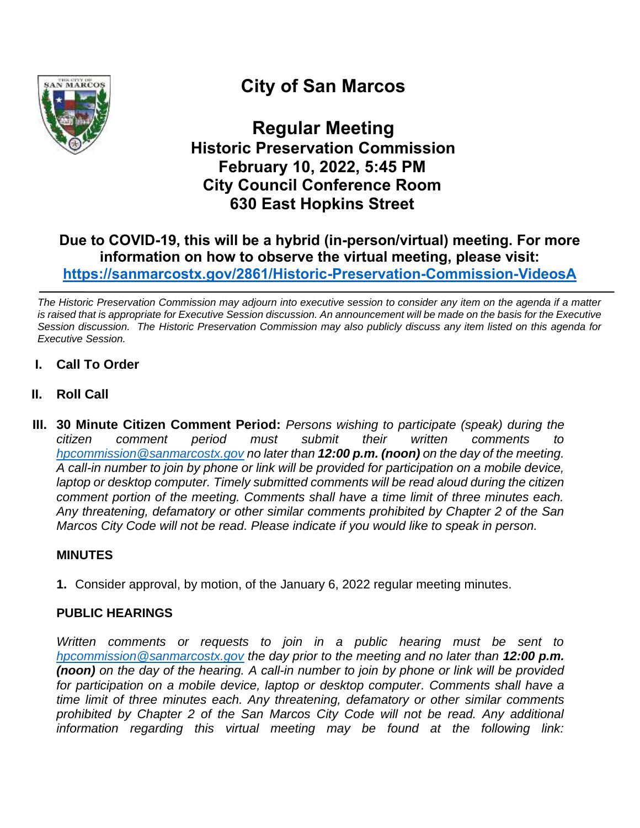

# **City of San Marcos**

**Regular Meeting Historic Preservation Commission February 10, 2022, 5:45 PM City Council Conference Room 630 East Hopkins Street**

# **Due to COVID-19, this will be a hybrid (in-person/virtual) meeting. For more information on how to observe the virtual meeting, please visit: <https://sanmarcostx.gov/2861/Historic-Preservation-Commission-VideosA>**

*The Historic Preservation Commission may adjourn into executive session to consider any item on the agenda if a matter is raised that is appropriate for Executive Session discussion. An announcement will be made on the basis for the Executive Session discussion. The Historic Preservation Commission may also publicly discuss any item listed on this agenda for Executive Session.*

- **I. Call To Order**
- **II. Roll Call**
- **III. 30 Minute Citizen Comment Period:** *Persons wishing to participate (speak) during the citizen comment period must submit their written comments to [hpcommission@sanmarcostx.gov](mailto:hpcommission@sanmarcostx.gov) no later than 12:00 p.m. (noon) on the day of the meeting. A call-in number to join by phone or link will be provided for participation on a mobile device, laptop or desktop computer. Timely submitted comments will be read aloud during the citizen comment portion of the meeting. Comments shall have a time limit of three minutes each. Any threatening, defamatory or other similar comments prohibited by Chapter 2 of the San Marcos City Code will not be read. Please indicate if you would like to speak in person.*

#### **MINUTES**

**1.** Consider approval, by motion, of the January 6, 2022 regular meeting minutes.

#### **PUBLIC HEARINGS**

*Written comments or requests to join in a public hearing must be sent to [hpcommission@sanmarcostx.gov](mailto:hpcommission@sanmarcostx.gov) the day prior to the meeting and no later than 12:00 p.m. (noon) on the day of the hearing. A call-in number to join by phone or link will be provided*  for participation on a mobile device, laptop or desktop computer. Comments shall have a *time limit of three minutes each. Any threatening, defamatory or other similar comments prohibited by Chapter 2 of the San Marcos City Code will not be read. Any additional information regarding this virtual meeting may be found at the following link:*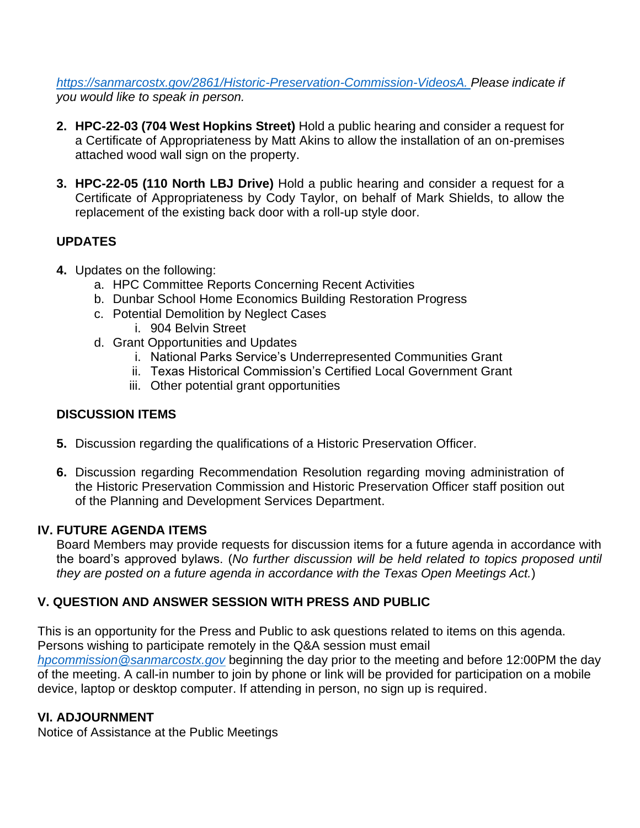*[https://sanmarcostx.gov/2861/Historic-Preservation-Commission-VideosA.](https://sanmarcostx.gov/2861/Historic-Preservation-Commission-VideosA) Please indicate if you would like to speak in person.*

- **2. HPC-22-03 (704 West Hopkins Street)** Hold a public hearing and consider a request for a Certificate of Appropriateness by Matt Akins to allow the installation of an on-premises attached wood wall sign on the property.
- **3. HPC-22-05 (110 North LBJ Drive)** Hold a public hearing and consider a request for a Certificate of Appropriateness by Cody Taylor, on behalf of Mark Shields, to allow the replacement of the existing back door with a roll-up style door.

## **UPDATES**

- **4.** Updates on the following:
	- a. HPC Committee Reports Concerning Recent Activities
	- b. Dunbar School Home Economics Building Restoration Progress
	- c. Potential Demolition by Neglect Cases
		- i. 904 Belvin Street
	- d. Grant Opportunities and Updates
		- i. National Parks Service's Underrepresented Communities Grant
		- ii. Texas Historical Commission's Certified Local Government Grant
		- iii. Other potential grant opportunities

## **DISCUSSION ITEMS**

- **5.** Discussion regarding the qualifications of a Historic Preservation Officer.
- **6.** Discussion regarding Recommendation Resolution regarding moving administration of the Historic Preservation Commission and Historic Preservation Officer staff position out of the Planning and Development Services Department.

## **IV. FUTURE AGENDA ITEMS**

Board Members may provide requests for discussion items for a future agenda in accordance with the board's approved bylaws. (*No further discussion will be held related to topics proposed until they are posted on a future agenda in accordance with the Texas Open Meetings Act.*)

## **V. QUESTION AND ANSWER SESSION WITH PRESS AND PUBLIC**

This is an opportunity for the Press and Public to ask questions related to items on this agenda. Persons wishing to participate remotely in the Q&A session must email *[hpcommission@sanmarcostx.gov](mailto:hpcommission@sanmarcostx.gov)* beginning the day prior to the meeting and before 12:00PM the day of the meeting. A call-in number to join by phone or link will be provided for participation on a mobile device, laptop or desktop computer. If attending in person, no sign up is required.

## **VI. ADJOURNMENT**

Notice of Assistance at the Public Meetings